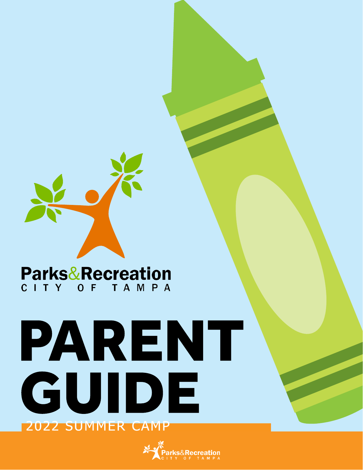

## **Parks&Recreation** CITY OF TAMPA

# PARENT GUIDE **2022 SUMMER CAMP**

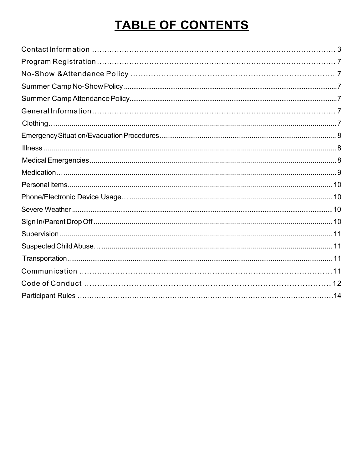## TABLE OF CONTENTS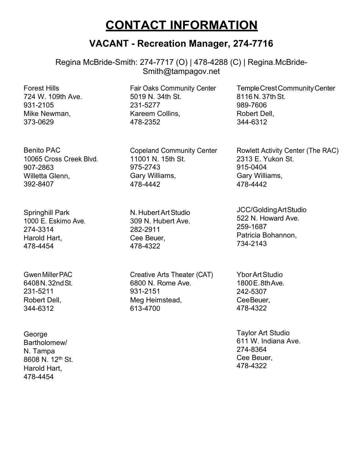## **CONTACT INFORMATION**

### **VACANT - Recreation Manager, 274-7716**

<span id="page-2-0"></span>Regina McBride-Smith: 274-7717 (O) | 478-4288 (C) | [Regina.McBride-](mailto:Regina.McBride-Smith@tampagov.net)[Smith@tampagov.net](mailto:Regina.McBride-Smith@tampagov.net)

Forest Hills 724 W. 109th Ave. 931-2105 Mike Newman, 373-0629

Benito PAC 10065 Cross Creek Blvd. 907-2863 Willetta Glenn, 392-8407

Springhill Park 1000 E. Eskimo Ave. 274-3314 Harold Hart, 478-4454

GwenMillerPAC 6408N.32ndSt. 231-5211 Robert Dell, 344-6312

George Bartholomew/ N. Tampa 8608 N. 12<sup>th</sup> St. Harold Hart, 478-4454

Fair Oaks Community Center 5019 N. 34th St. 231-5277 Kareem Collins, 478-2352

Copeland Community Center 11001 N. 15th St. 975-2743 Gary Williams, 478-4442

N.HubertArtStudio 309 N. Hubert Ave. 282-2911 Cee Beuer, 478-4322

Creative Arts Theater (CAT) 6800 N. Rome Ave. 931-2151 Meg Heimstead, 613-4700

TempleCrestCommunityCenter 8116 N. 37th St. 989-7606 Robert Dell, 344-6312

Rowlett Activity Center (The RAC) 2313 E. Yukon St. 915-0404 Gary Williams, 478-4442

JCC/GoldingArtStudio 522 N. Howard Ave. 259-1687 Patricia Bohannon, 734-2143

YborArtStudio 1800E.8thAve. 242-5307 CeeBeuer, 478-4322

Taylor Art Studio 611 W. Indiana Ave. 274-8364 Cee Beuer, 478-4322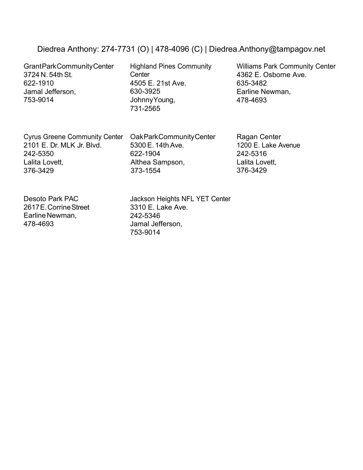#### Diedrea Anthony: 274-7731 (O) | 478-4096 (C) | [Diedrea.Anthony@tampagov.net](mailto:Diedrea.Anthony@tampagov.net)

GrantParkCommunityCenter 3724 N. 54th St. 622-1910 Jamal Jefferson, 753-9014

Highland Pines Community **Center** 4505 E. 21st Ave. 630-3925 JohnnyYoung, 731-2565

Williams Park Community Center 4362 E. Osborne Ave. 635-3482 Earline Newman, 478-4693

Cyrus Greene Community Center 2101 E. Dr. MLK Jr. Blvd. 242-5350 Lalita Lovett, 376-3429

OakParkCommunityCenter 5300 E. 14th Ave. 622-1904 Althea Sampson, 373-1554

Ragan Center 1200 E. Lake Avenue 242-5316 Lalita Lovett, 376-3429

Desoto Park PAC 2617E.CorrineStreet Earline Newman, 478-4693

Jackson Heights NFL YET Center 3310 E. Lake Ave. 242-5346 Jamal Jefferson, 753-9014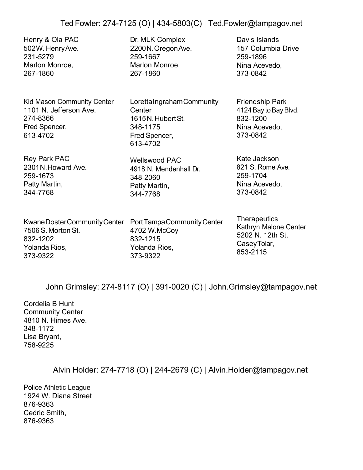#### Ted Fowler: 274-7125 (O) | 434-5803(C) | [Ted.Fowler@tampagov.net](mailto:Ted.Fowler@tampagov.net)

Henry & Ola PAC 502W. HenryAve. 231-5279 Marlon Monroe, 267-1860

Kid Mason Community Center 1101 N. Jefferson Ave. 274-8366 Fred Spencer, 613-4702

Rey Park PAC 2301N.Howard Ave. 259-1673 Patty Martin, 344-7768

KwaneDosterCommunityCenter PortTampaCommunityCenter 7506 S. MortonSt. 832-1202 Yolanda Rios, 373-9322

Dr. MLK Complex 2200N.OregonAve. 259-1667 Marlon Monroe, 267-1860

Loretta Ingraham Community **Center** 1615N.HubertSt. 348-1175 Fred Spencer, 613-4702

Wellswood PAC 4918 N. Mendenhall Dr. 348-2060 Patty Martin, 344-7768

Davis Islands 157 Columbia Drive 259-1896 Nina Acevedo, 373-0842

Friendship Park 4124 Bay to Bay Blvd. 832-1200 Nina Acevedo, 373-0842

Kate Jackson 821 S. Rome Ave. 259-1704 Nina Acevedo, 373-0842

4702 W.McCoy 832-1215 Yolanda Rios, 373-9322

**Therapeutics** Kathryn Malone Center 5202 N. 12th St. CaseyTolar, 853-2115

John Grimsley: 274-8117 (O) | 391-0020 (C) | [John.Grimsley@tampagov.net](mailto:John.Grimsley@tampagov.net)

Cordelia B Hunt Community Center 4810 N. Himes Ave. 348-1172 Lisa Bryant, 758-9225

Alvin Holder: 274-7718 (O) | 244-2679 (C) | Alvin.Holder@tampagov.net

Police Athletic League 1924 W. Diana Street 876-9363 Cedric Smith, 876-9363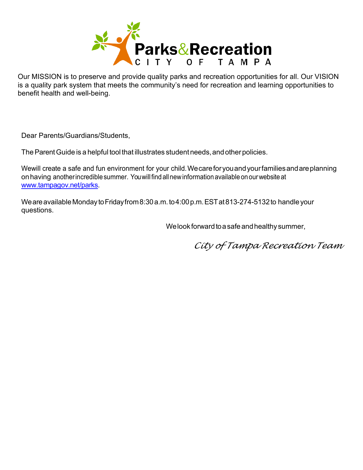

Our MISSION is to preserve and provide quality parks and recreation opportunities for all. Our VISION is a quality park system that meets the community's need for recreation and learning opportunities to benefit health and well-being.

Dear Parents/Guardians/Students,

The Parent Guide is a helpful tool that illustrates student needs, and other policies.

We will create a safe and fun environment for your child. We care for you and your families and are planning onhaving anotherincrediblesummer. Youwillfindallnewinformationavailableonourwebsiteat [www.tampagov.net/parks.](http://www.tampagov.net/parks)

We are available Monday to Friday from 8:30 a.m. to 4:00 p.m. EST at 813-274-5132 to handle your questions.

We look forward to a safe and healthy summer,

*City of Tampa Recreation Team*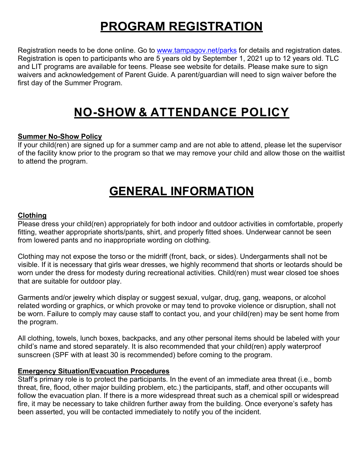## **PROGRAM REGISTRATION**

<span id="page-6-0"></span>Registration needs to be done online. Go to [www.tampagov.net/parks](http://www.tampagov.net/parks) for details and registration dates. Registration is open to participants who are 5 years old by September 1, 2021 up to 12 years old. TLC and LIT programs are available for teens. Please see website for details. Please make sure to sign waivers and acknowledgement of Parent Guide. A parent/guardian will need to sign waiver before the first day of the Summer Program.

## **NO-SHOW & ATTENDANCE POLICY**

#### **Summer No-Show Policy**

If your child(ren) are signed up for a summer camp and are not able to attend, please let the supervisor of the facility know prior to the program so that we may remove your child and allow those on the waitlist to attend the program.

## <span id="page-6-1"></span>**GENERAL INFORMATION**

#### **Clothing**

Please dress your child(ren) appropriately for both indoor and outdoor activities in comfortable, properly fitting, weather appropriate shorts/pants, shirt, and properly fitted shoes. Underwear cannot be seen from lowered pants and no inappropriate wording on clothing.

Clothing may not expose the torso or the midriff (front, back, or sides). Undergarments shall not be visible. If it is necessary that girls wear dresses, we highly recommend that shorts or leotards should be worn under the dress for modesty during recreational activities. Child(ren) must wear closed toe shoes that are suitable for outdoor play.

Garments and/or jewelry which display or suggest sexual, vulgar, drug, gang, weapons, or alcohol related wording or graphics, or which provoke or may tend to provoke violence or disruption, shall not be worn. Failure to comply may cause staff to contact you, and your child(ren) may be sent home from the program.

All clothing, towels, lunch boxes, backpacks, and any other personal items should be labeled with your child's name and stored separately. It is also recommended that your child(ren) apply waterproof sunscreen (SPF with at least 30 is recommended) before coming to the program.

#### **Emergency Situation/Evacuation Procedures**

Staff's primary role is to protect the participants. In the event of an immediate area threat (i.e., bomb threat, fire, flood, other major building problem, etc.) the participants, staff, and other occupants will follow the evacuation plan. If there is a more widespread threat such as a chemical spill or widespread fire, it may be necessary to take children further away from the building. Once everyone's safety has been asserted, you will be contacted immediately to notify you of the incident.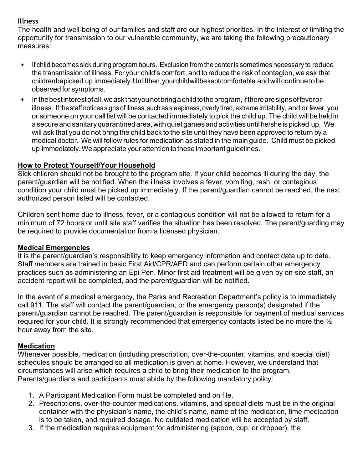#### **Illness**

The health and well-being of our families and staff are our highest priorities. In the interest of limiting the opportunity for transmission to our vulnerable community, we are taking the following precautionary measures:

- If child becomes sick during program hours. Exclusion from the centeris sometimes necessary to reduce the transmission of illness. For your child's comfort, and to reduce the risk of contagion, we ask that childrenbepicked up immediately.Untilthen,yourchildwillbekeptcomfortable and will continue tobe observed for symptoms.
- Inthebestinterestofall,we ask thatyounotbring a childtotheprogram,iftherearesignsoffeveror illness. If the staff notices signs of illness, such as sleepiness, overly tired, extreme irritability, and or fever, you or someone on your call list will be contacted immediately to pick the child up. The child willbe heldin a secure and sanitary quarantined area, with quiet games and activities until he/she is picked up. We will ask that you do not bring the child back to the site until they have been approved to return by a medical doctor. We will follow rules for medication as stated in the main guide. Child must be picked up immediately.Weappreciate yourattention tothese important guidelines.

#### **How to Protect Yourself/Your Household**

Sick children should not be brought to the program site. If your child becomes ill during the day, the parent/guardian will be notified. When the illness involves a fever, vomiting, rash, or contagious condition your child must be picked up immediately. If the parent/guardian cannot be reached, the next authorized person listed will be contacted.

Children sent home due to illness, fever, or a contagious condition will not be allowed to return for a minimum of 72 hours or until site staff verifies the situation has been resolved. The parent/guarding may be required to provide documentation from a licensed physician.

#### **Medical Emergencies**

It is the parent/guardian's responsibility to keep emergency information and contact data up to date. Staff members are trained in basic First Aid/CPR/AED and can perform certain other emergency practices such as administering an Epi Pen. Minor first aid treatment will be given by on-site staff, an accident report will be completed, and the parent/guardian will be notified.

In the event of a medical emergency, the Parks and Recreation Department's policy is to immediately call 911. The staff will contact the parent/guardian, or the emergency person(s) designated if the parent/guardian cannot be reached. The parent/guardian is responsible for payment of medical services required for your child. It is strongly recommended that emergency contacts listed be no more the  $\frac{1}{2}$ hour away from the site.

#### **Medication**

Whenever possible, medication (including prescription, over-the-counter, vitamins, and special diet) schedules should be arranged so all medication is given at home. However, we understand that circumstances will arise which requires a child to bring their medication to the program. Parents/guardians and participants must abide by the following mandatory policy:

- 1. A Participant Medication Form must be completed and on file.
- 2. Prescriptions, over-the-counter medications, vitamins, and special diets must be in the original container with the physician's name, the child's name, name of the medication, time medication is to be taken, and required dosage. No outdated medication will be accepted by staff.
- 3. If the medication requires equipment for administering (spoon, cup, or dropper), the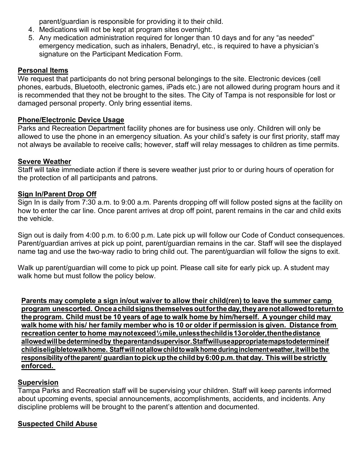parent/guardian is responsible for providing it to their child.

- 4. Medications will not be kept at program sites overnight.
- 5. Any medication administration required for longer than 10 days and for any "as needed" emergency medication, such as inhalers, Benadryl, etc., is required to have a physician's signature on the Participant Medication Form.

#### **Personal Items**

We request that participants do not bring personal belongings to the site. Electronic devices (cell phones, earbuds, Bluetooth, electronic games, iPads etc.) are not allowed during program hours and it is recommended that they not be brought to the sites. The City of Tampa is not responsible for lost or damaged personal property. Only bring essential items.

#### **Phone/Electronic Device Usage**

Parks and Recreation Department facility phones are for business use only. Children will only be allowed to use the phone in an emergency situation. As your child's safety is our first priority, staff may not always be available to receive calls; however, staff will relay messages to children as time permits.

#### **Severe Weather**

Staff will take immediate action if there is severe weather just prior to or during hours of operation for the protection of all participants and patrons.

#### <span id="page-8-0"></span>**Sign In/Parent Drop Off**

Sign In is daily from 7:30 a.m. to 9:00 a.m. Parents dropping off will follow posted signs at the facility on how to enter the car line. Once parent arrives at drop off point, parent remains in the car and child exits the vehicle.

Sign out is daily from 4:00 p.m. to 6:00 p.m. Late pick up will follow our Code of Conduct consequences. Parent/guardian arrives at pick up point, parent/guardian remains in the car. Staff will see the displayed name tag and use the two-way radio to bring child out. The parent/guardian will follow the signs to exit.

Walk up parent/guardian will come to pick up point. Please call site for early pick up. A student may walk home but must follow the policy below.

**Parents may complete a sign in/out waiver to allow their child(ren) to leave the summer camp program unescorted. Once a childsignsthemselvesoutfortheday,theyarenotallowedtoreturnto theprogram. Child must be 10 years of age to walk home by him/herself. A younger child may walk home with his/ her family member who is 10 or older if permission is given. Distance from recreation center to home maynotexceed ½ mile,unlessthechildis13orolder,thenthedistance allowedwillbedeterminedby theparentandsupervisor.Staffwilluseappropriatemapstodetermineif childiseligibletowalkhome. Staffwillnotallowchildtowalkhomeduringinclementweather,itwillbethe responsibilityoftheparent/ guardiantopickupthe childby6:00p.m.thatday. Thiswillbe strictly enforced.** 

#### **Supervision**

Tampa Parks and Recreation staff will be supervising your children. Staff will keep parents informed about upcoming events, special announcements, accomplishments, accidents, and incidents. Any discipline problems will be brought to the parent's attention and documented.

#### **Suspected Child Abuse**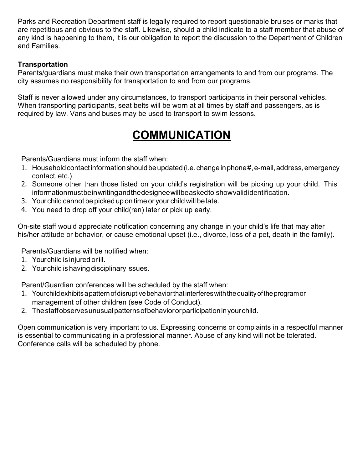Parks and Recreation Department staff is legally required to report questionable bruises or marks that are repetitious and obvious to the staff. Likewise, should a child indicate to a staff member that abuse of any kind is happening to them, it is our obligation to report the discussion to the Department of Children and Families.

#### **Transportation**

Parents/guardians must make their own transportation arrangements to and from our programs. The city assumes no responsibility for transportation to and from our programs.

Staff is never allowed under any circumstances, to transport participants in their personal vehicles. When transporting participants, seat belts will be worn at all times by staff and passengers, as is required by law. Vans and buses may be used to transport to swim lessons.

## **COMMUNICATION**

Parents/Guardians must inform the staff when:

- 1. Household contact informationshouldbeupdated(i.e.changeinphone#, e-mail,address,emergency contact, etc.)
- 2. Someone other than those listed on your child's registration will be picking up your child. This information must bein writing and the designee will be asked to show valididentification.
- 3. Yourchild cannot be picked up on time or your child will be late.
- 4. You need to drop off your child(ren) later or pick up early.

On-site staff would appreciate notification concerning any change in your child's life that may alter his/her attitude or behavior, or cause emotional upset (i.e., divorce, loss of a pet, death in the family).

Parents/Guardians will be notified when:

- 1. Yourchild is injured orill.
- 2. Yourchild is having disciplinary issues.

Parent/Guardian conferences will be scheduled by the staff when:

- 1. Yourchildexhibits a patternofdisruptivebehaviorthatinterfereswiththequalityoftheprogramor management of other children (see Code of Conduct).
- 2. Thestaffobservesunusualpatternsofbehaviororparticipationinyourchild.

<span id="page-9-0"></span>Open communication is very important to us. Expressing concerns or complaints in a respectful manner is essential to communicating in a professional manner. Abuse of any kind will not be tolerated. Conference calls will be scheduled by phone.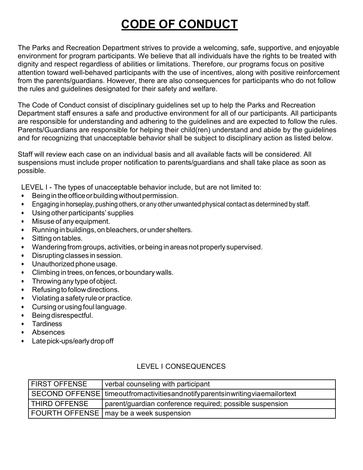## **CODE OF CONDUCT**

The Parks and Recreation Department strives to provide a welcoming, safe, supportive, and enjoyable environment for program participants. We believe that all individuals have the rights to be treated with dignity and respect regardless of abilities or limitations. Therefore, our programs focus on positive attention toward well-behaved participants with the use of incentives, along with positive reinforcement from the parents/guardians. However, there are also consequences for participants who do not follow the rules and guidelines designated for their safety and welfare.

The Code of Conduct consist of disciplinary guidelines set up to help the Parks and Recreation Department staff ensures a safe and productive environment for all of our participants. All participants are responsible for understanding and adhering to the guidelines and are expected to follow the rules. Parents/Guardians are responsible for helping their child(ren) understand and abide by the guidelines and for recognizing that unacceptable behavior shall be subject to disciplinary action as listed below.

Staff will review each case on an individual basis and all available facts will be considered. All suspensions must include proper notification to parents/guardians and shall take place as soon as possible.

LEVEL I - The types of unacceptable behavior include, but are not limited to:

- Being in the office or building without permission.
- Engaging in horseplay, pushing others, or any other unwanted physical contact as determined by staff.
- Using otherparticipants' supplies
- Misuse of any equipment.
- Running in buildings, on bleachers, or under shelters.
- Sitting on tables.
- Wanderingfrom groups, activities, orbeing in areas not properly supervised.
- Disrupting classes in session.
- Unauthorized phone usage.
- Climbing in trees,on fences,or boundary walls.
- Throwing any type of object.
- Refusing to follow directions.
- Violating a safety rule or practice.
- Cursing or using foul language.
- Being disrespectful.
- **Tardiness**
- Absences
- Late pick-ups/early drop off

| <b>FIRST OFFENSE</b> | verbal counseling with participant                                                     |
|----------------------|----------------------------------------------------------------------------------------|
|                      | SECOND OFFENSE   timeoutfromactivities and notify parents in writing via email or text |
| THIRD OFFENSE        | parent/guardian conference required; possible suspension                               |
|                      | FOURTH OFFENSE   may be a week suspension                                              |

#### LEVEL I CONSEQUENCES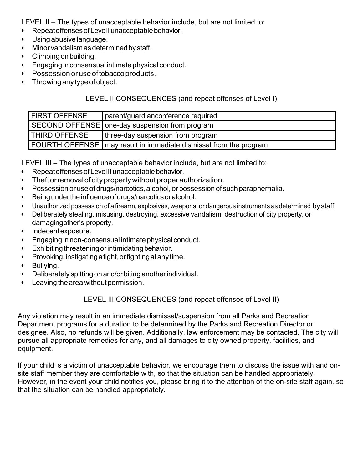<span id="page-11-0"></span>LEVEL II – The types of unacceptable behavior include, but are not limited to:

- Repeat offenses of Level I unacceptable behavior.
- Using abusive language.
- Minor vandalism as determined by staff.
- Climbing on building.
- Engaging in consensual intimate physical conduct.
- Possession or use of tobacco products.
- Throwing any type of object.

#### LEVEL II CONSEQUENCES (and repeat offenses of Level I)

| <b>FIRST OFFENSE</b> | parent/guardianconference required                                  |
|----------------------|---------------------------------------------------------------------|
|                      | SECOND OFFENSE   one-day suspension from program                    |
| <b>THIRD OFFENSE</b> | three-day suspension from program                                   |
|                      | FOURTH OFFENSE   may result in immediate dismissal from the program |

LEVEL III – The types of unacceptable behavior include, but are not limited to:

- Repeat offenses of Level II unacceptable behavior.
- Theftorremovalofcitypropertywithoutproperauthorization.
- Possession or use of drugs/narcotics,alcohol, or possession of such paraphernalia.
- Being under the influence of drugs/narcotics or alcohol.
- Unauthorized possession of a firearm, explosives, weapons, or dangerous instruments as determined by staff.
- Deliberately stealing, misusing, destroying, excessive vandalism, destruction of city property, or damagingother's property.
- Indecentexposure.
- Engaging in non-consensual intimate physical conduct.
- $\bullet$  Exhibiting threatening or intimidating behavior.
- Provoking, instigating a fight, or fighting at any time.
- Bullying.
- Deliberately spitting on and/or biting another individual.
- Leaving the area without permission.

#### LEVEL III CONSEQUENCES (and repeat offenses of Level II)

Any violation may result in an immediate dismissal/suspension from all Parks and Recreation Department programs for a duration to be determined by the Parks and Recreation Director or designee. Also, no refunds will be given. Additionally, law enforcement may be contacted. The city will pursue all appropriate remedies for any, and all damages to city owned property, facilities, and equipment.

If your child is a victim of unacceptable behavior, we encourage them to discuss the issue with and onsite staff member they are comfortable with, so that the situation can be handled appropriately. However, in the event your child notifies you, please bring it to the attention of the on-site staff again, so that the situation can be handled appropriately.